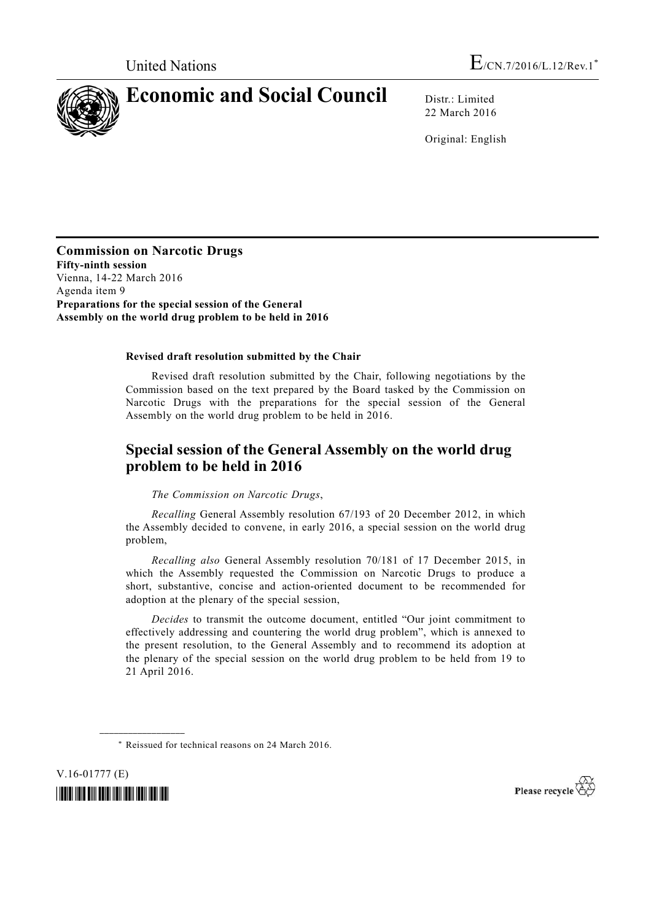

22 March 2016

Original: English

**Commission on Narcotic Drugs Fifty-ninth session**  Vienna, 14-22 March 2016 Agenda item 9\* **Preparations for the special session of the General Assembly on the world drug problem to be held in 2016**

#### **Revised draft resolution submitted by the Chair**

 Revised draft resolution submitted by the Chair, following negotiations by the Commission based on the text prepared by the Board tasked by the Commission on Narcotic Drugs with the preparations for the special session of the General Assembly on the world drug problem to be held in 2016.

# **Special session of the General Assembly on the world drug problem to be held in 2016**

*The Commission on Narcotic Drugs*,

*Recalling* General Assembly resolution 67/193 of 20 December 2012, in which the Assembly decided to convene, in early 2016, a special session on the world drug problem,

*Recalling also* General Assembly resolution 70/181 of 17 December 2015, in which the Assembly requested the Commission on Narcotic Drugs to produce a short, substantive, concise and action-oriented document to be recommended for adoption at the plenary of the special session,

*Decides* to transmit the outcome document, entitled "Our joint commitment to effectively addressing and countering the world drug problem", which is annexed to the present resolution, to the General Assembly and to recommend its adoption at the plenary of the special session on the world drug problem to be held from 19 to 21 April 2016.

V.16-01777 (E) *\*1601777\** 

**\_\_\_\_\_\_\_\_\_\_\_\_\_\_\_\_\_\_** 

Please recycle

 <sup>\*</sup> Reissued for technical reasons on 24 March 2016.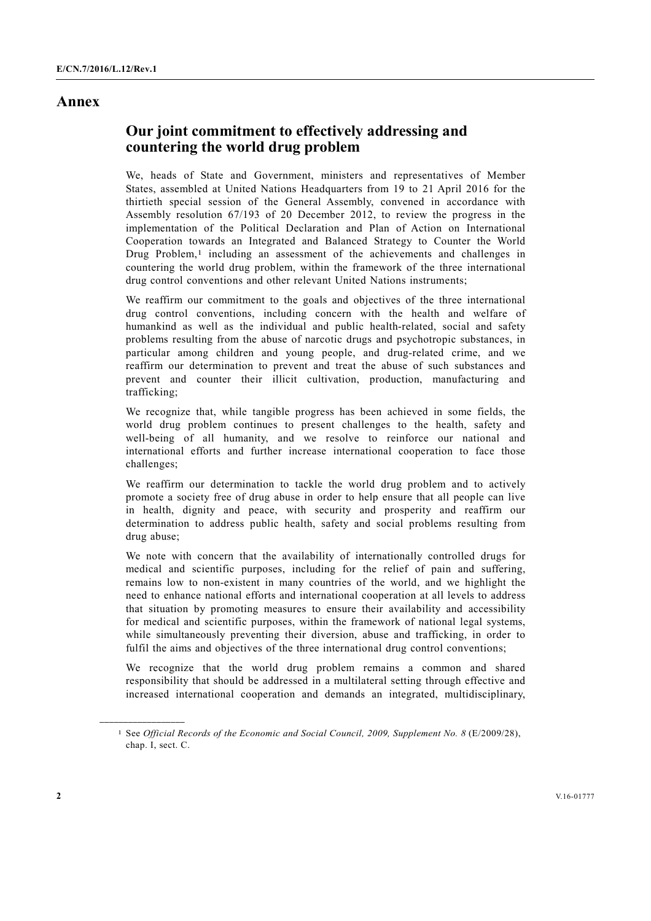### **Annex**

# **Our joint commitment to effectively addressing and countering the world drug problem**

We, heads of State and Government, ministers and representatives of Member States, assembled at United Nations Headquarters from 19 to 21 April 2016 for the thirtieth special session of the General Assembly, convened in accordance with Assembly resolution 67/193 of 20 December 2012, to review the progress in the implementation of the Political Declaration and Plan of Action on International Cooperation towards an Integrated and Balanced Strategy to Counter the World Drug Problem,<sup>1</sup> including an assessment of the achievements and challenges in countering the world drug problem, within the framework of the three international drug control conventions and other relevant United Nations instruments;

We reaffirm our commitment to the goals and objectives of the three international drug control conventions, including concern with the health and welfare of humankind as well as the individual and public health-related, social and safety problems resulting from the abuse of narcotic drugs and psychotropic substances, in particular among children and young people, and drug-related crime, and we reaffirm our determination to prevent and treat the abuse of such substances and prevent and counter their illicit cultivation, production, manufacturing and trafficking;

We recognize that, while tangible progress has been achieved in some fields, the world drug problem continues to present challenges to the health, safety and well-being of all humanity, and we resolve to reinforce our national and international efforts and further increase international cooperation to face those challenges;

We reaffirm our determination to tackle the world drug problem and to actively promote a society free of drug abuse in order to help ensure that all people can live in health, dignity and peace, with security and prosperity and reaffirm our determination to address public health, safety and social problems resulting from drug abuse;

We note with concern that the availability of internationally controlled drugs for medical and scientific purposes, including for the relief of pain and suffering, remains low to non-existent in many countries of the world, and we highlight the need to enhance national efforts and international cooperation at all levels to address that situation by promoting measures to ensure their availability and accessibility for medical and scientific purposes, within the framework of national legal systems, while simultaneously preventing their diversion, abuse and trafficking, in order to fulfil the aims and objectives of the three international drug control conventions;

We recognize that the world drug problem remains a common and shared responsibility that should be addressed in a multilateral setting through effective and increased international cooperation and demands an integrated, multidisciplinary,

<sup>1</sup> See *Official Records of the Economic and Social Council, 2009, Supplement No. 8* (E/2009/28), chap. I, sect. C.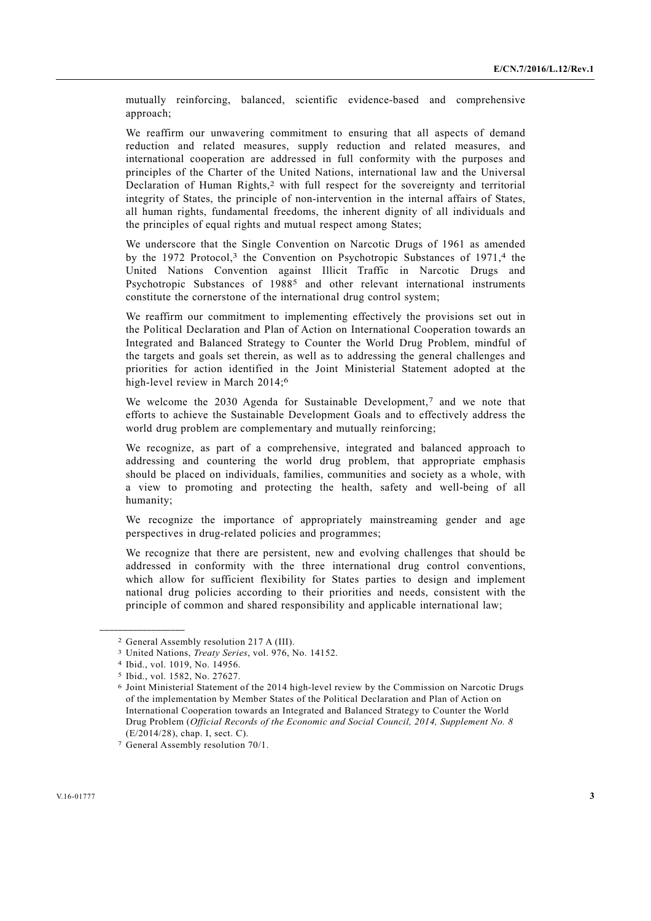mutually reinforcing, balanced, scientific evidence-based and comprehensive approach;

We reaffirm our unwavering commitment to ensuring that all aspects of demand reduction and related measures, supply reduction and related measures, and international cooperation are addressed in full conformity with the purposes and principles of the Charter of the United Nations, international law and the Universal Declaration of Human Rights,<sup>2</sup> with full respect for the sovereignty and territorial integrity of States, the principle of non-intervention in the internal affairs of States, all human rights, fundamental freedoms, the inherent dignity of all individuals and the principles of equal rights and mutual respect among States;

We underscore that the Single Convention on Narcotic Drugs of 1961 as amended by the 1972 Protocol,<sup>3</sup> the Convention on Psychotropic Substances of 1971,<sup>4</sup> the United Nations Convention against Illicit Traffic in Narcotic Drugs and Psychotropic Substances of 1988<sup>5</sup> and other relevant international instruments constitute the cornerstone of the international drug control system;

We reaffirm our commitment to implementing effectively the provisions set out in the Political Declaration and Plan of Action on International Cooperation towards an Integrated and Balanced Strategy to Counter the World Drug Problem, mindful of the targets and goals set therein, as well as to addressing the general challenges and priorities for action identified in the Joint Ministerial Statement adopted at the high-level review in March 2014:<sup>6</sup>

We welcome the 2030 Agenda for Sustainable Development,<sup>7</sup> and we note that efforts to achieve the Sustainable Development Goals and to effectively address the world drug problem are complementary and mutually reinforcing;

We recognize, as part of a comprehensive, integrated and balanced approach to addressing and countering the world drug problem, that appropriate emphasis should be placed on individuals, families, communities and society as a whole, with a view to promoting and protecting the health, safety and well-being of all humanity;

We recognize the importance of appropriately mainstreaming gender and age perspectives in drug-related policies and programmes;

We recognize that there are persistent, new and evolving challenges that should be addressed in conformity with the three international drug control conventions, which allow for sufficient flexibility for States parties to design and implement national drug policies according to their priorities and needs, consistent with the principle of common and shared responsibility and applicable international law;

<sup>2</sup> General Assembly resolution 217 A (III).

<sup>3</sup> United Nations, *Treaty Series*, vol. 976, No. 14152.

<sup>4</sup> Ibid., vol. 1019, No. 14956.

<sup>5</sup> Ibid., vol. 1582, No. 27627.

<sup>6</sup> Joint Ministerial Statement of the 2014 high-level review by the Commission on Narcotic Drugs of the implementation by Member States of the Political Declaration and Plan of Action on International Cooperation towards an Integrated and Balanced Strategy to Counter the World Drug Problem (*Official Records of the Economic and Social Council, 2014, Supplement No. 8* (E/2014/28), chap. I, sect. C).

<sup>7</sup> General Assembly resolution 70/1.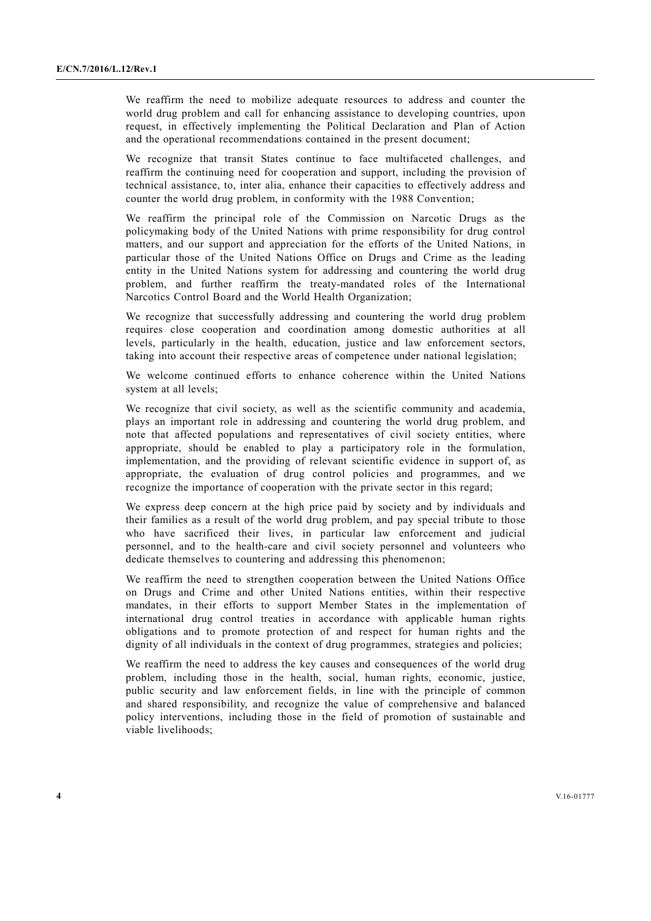We reaffirm the need to mobilize adequate resources to address and counter the world drug problem and call for enhancing assistance to developing countries, upon request, in effectively implementing the Political Declaration and Plan of Action and the operational recommendations contained in the present document;

We recognize that transit States continue to face multifaceted challenges, and reaffirm the continuing need for cooperation and support, including the provision of technical assistance, to, inter alia, enhance their capacities to effectively address and counter the world drug problem, in conformity with the 1988 Convention;

We reaffirm the principal role of the Commission on Narcotic Drugs as the policymaking body of the United Nations with prime responsibility for drug control matters, and our support and appreciation for the efforts of the United Nations, in particular those of the United Nations Office on Drugs and Crime as the leading entity in the United Nations system for addressing and countering the world drug problem, and further reaffirm the treaty-mandated roles of the International Narcotics Control Board and the World Health Organization;

We recognize that successfully addressing and countering the world drug problem requires close cooperation and coordination among domestic authorities at all levels, particularly in the health, education, justice and law enforcement sectors, taking into account their respective areas of competence under national legislation;

We welcome continued efforts to enhance coherence within the United Nations system at all levels;

We recognize that civil society, as well as the scientific community and academia, plays an important role in addressing and countering the world drug problem, and note that affected populations and representatives of civil society entities, where appropriate, should be enabled to play a participatory role in the formulation, implementation, and the providing of relevant scientific evidence in support of, as appropriate, the evaluation of drug control policies and programmes, and we recognize the importance of cooperation with the private sector in this regard;

We express deep concern at the high price paid by society and by individuals and their families as a result of the world drug problem, and pay special tribute to those who have sacrificed their lives, in particular law enforcement and judicial personnel, and to the health-care and civil society personnel and volunteers who dedicate themselves to countering and addressing this phenomenon;

We reaffirm the need to strengthen cooperation between the United Nations Office on Drugs and Crime and other United Nations entities, within their respective mandates, in their efforts to support Member States in the implementation of international drug control treaties in accordance with applicable human rights obligations and to promote protection of and respect for human rights and the dignity of all individuals in the context of drug programmes, strategies and policies;

We reaffirm the need to address the key causes and consequences of the world drug problem, including those in the health, social, human rights, economic, justice, public security and law enforcement fields, in line with the principle of common and shared responsibility, and recognize the value of comprehensive and balanced policy interventions, including those in the field of promotion of sustainable and viable livelihoods;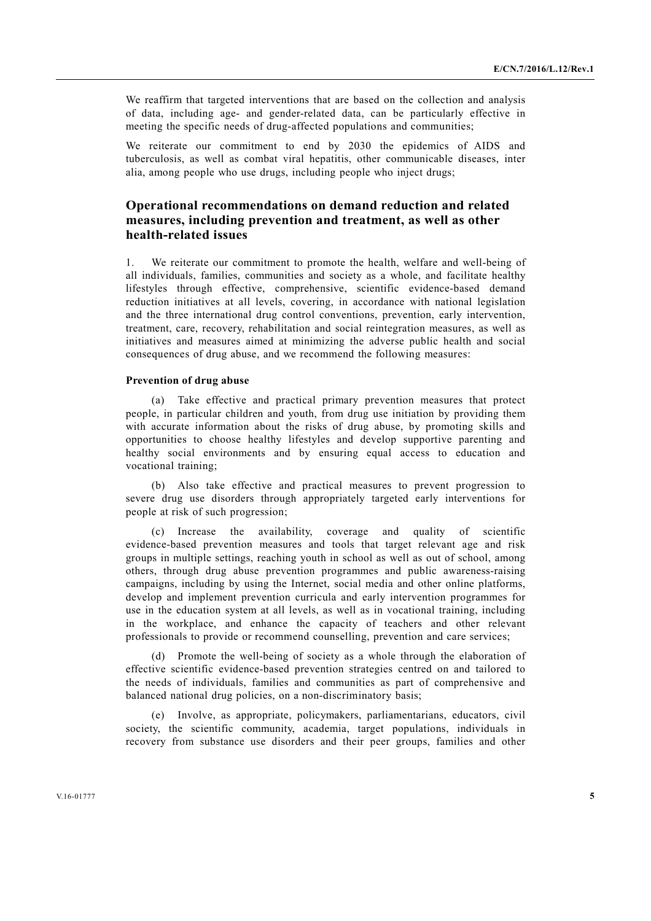We reaffirm that targeted interventions that are based on the collection and analysis of data, including age- and gender-related data, can be particularly effective in meeting the specific needs of drug-affected populations and communities;

We reiterate our commitment to end by 2030 the epidemics of AIDS and tuberculosis, as well as combat viral hepatitis, other communicable diseases, inter alia, among people who use drugs, including people who inject drugs;

## **Operational recommendations on demand reduction and related measures, including prevention and treatment, as well as other health-related issues**

1. We reiterate our commitment to promote the health, welfare and well-being of all individuals, families, communities and society as a whole, and facilitate healthy lifestyles through effective, comprehensive, scientific evidence-based demand reduction initiatives at all levels, covering, in accordance with national legislation and the three international drug control conventions, prevention, early intervention, treatment, care, recovery, rehabilitation and social reintegration measures, as well as initiatives and measures aimed at minimizing the adverse public health and social consequences of drug abuse, and we recommend the following measures:

### **Prevention of drug abuse**

 (a) Take effective and practical primary prevention measures that protect people, in particular children and youth, from drug use initiation by providing them with accurate information about the risks of drug abuse, by promoting skills and opportunities to choose healthy lifestyles and develop supportive parenting and healthy social environments and by ensuring equal access to education and vocational training;

 (b) Also take effective and practical measures to prevent progression to severe drug use disorders through appropriately targeted early interventions for people at risk of such progression;

 (c) Increase the availability, coverage and quality of scientific evidence-based prevention measures and tools that target relevant age and risk groups in multiple settings, reaching youth in school as well as out of school, among others, through drug abuse prevention programmes and public awareness-raising campaigns, including by using the Internet, social media and other online platforms, develop and implement prevention curricula and early intervention programmes for use in the education system at all levels, as well as in vocational training, including in the workplace, and enhance the capacity of teachers and other relevant professionals to provide or recommend counselling, prevention and care services;

 (d) Promote the well-being of society as a whole through the elaboration of effective scientific evidence-based prevention strategies centred on and tailored to the needs of individuals, families and communities as part of comprehensive and balanced national drug policies, on a non-discriminatory basis;

 (e) Involve, as appropriate, policymakers, parliamentarians, educators, civil society, the scientific community, academia, target populations, individuals in recovery from substance use disorders and their peer groups, families and other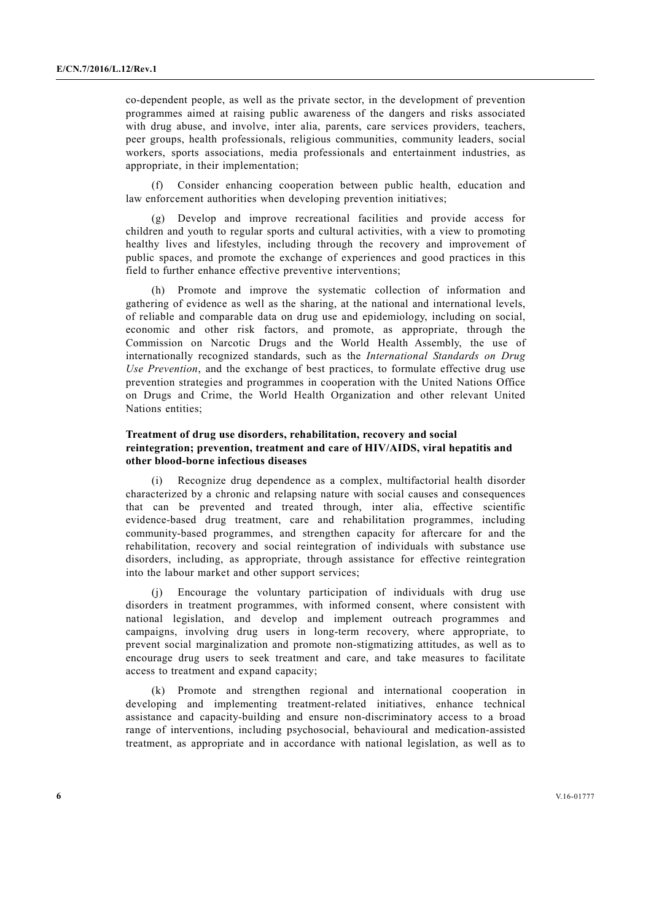co-dependent people, as well as the private sector, in the development of prevention programmes aimed at raising public awareness of the dangers and risks associated with drug abuse, and involve, inter alia, parents, care services providers, teachers, peer groups, health professionals, religious communities, community leaders, social workers, sports associations, media professionals and entertainment industries, as appropriate, in their implementation;

 (f) Consider enhancing cooperation between public health, education and law enforcement authorities when developing prevention initiatives;

 (g) Develop and improve recreational facilities and provide access for children and youth to regular sports and cultural activities, with a view to promoting healthy lives and lifestyles, including through the recovery and improvement of public spaces, and promote the exchange of experiences and good practices in this field to further enhance effective preventive interventions;

 (h) Promote and improve the systematic collection of information and gathering of evidence as well as the sharing, at the national and international levels, of reliable and comparable data on drug use and epidemiology, including on social, economic and other risk factors, and promote, as appropriate, through the Commission on Narcotic Drugs and the World Health Assembly, the use of internationally recognized standards, such as the *International Standards on Drug Use Prevention*, and the exchange of best practices, to formulate effective drug use prevention strategies and programmes in cooperation with the United Nations Office on Drugs and Crime, the World Health Organization and other relevant United Nations entities;

#### **Treatment of drug use disorders, rehabilitation, recovery and social reintegration; prevention, treatment and care of HIV/AIDS, viral hepatitis and other blood-borne infectious diseases**

 (i) Recognize drug dependence as a complex, multifactorial health disorder characterized by a chronic and relapsing nature with social causes and consequences that can be prevented and treated through, inter alia, effective scientific evidence-based drug treatment, care and rehabilitation programmes, including community-based programmes, and strengthen capacity for aftercare for and the rehabilitation, recovery and social reintegration of individuals with substance use disorders, including, as appropriate, through assistance for effective reintegration into the labour market and other support services;

 (j) Encourage the voluntary participation of individuals with drug use disorders in treatment programmes, with informed consent, where consistent with national legislation, and develop and implement outreach programmes and campaigns, involving drug users in long-term recovery, where appropriate, to prevent social marginalization and promote non-stigmatizing attitudes, as well as to encourage drug users to seek treatment and care, and take measures to facilitate access to treatment and expand capacity;

 (k) Promote and strengthen regional and international cooperation in developing and implementing treatment-related initiatives, enhance technical assistance and capacity-building and ensure non-discriminatory access to a broad range of interventions, including psychosocial, behavioural and medication-assisted treatment, as appropriate and in accordance with national legislation, as well as to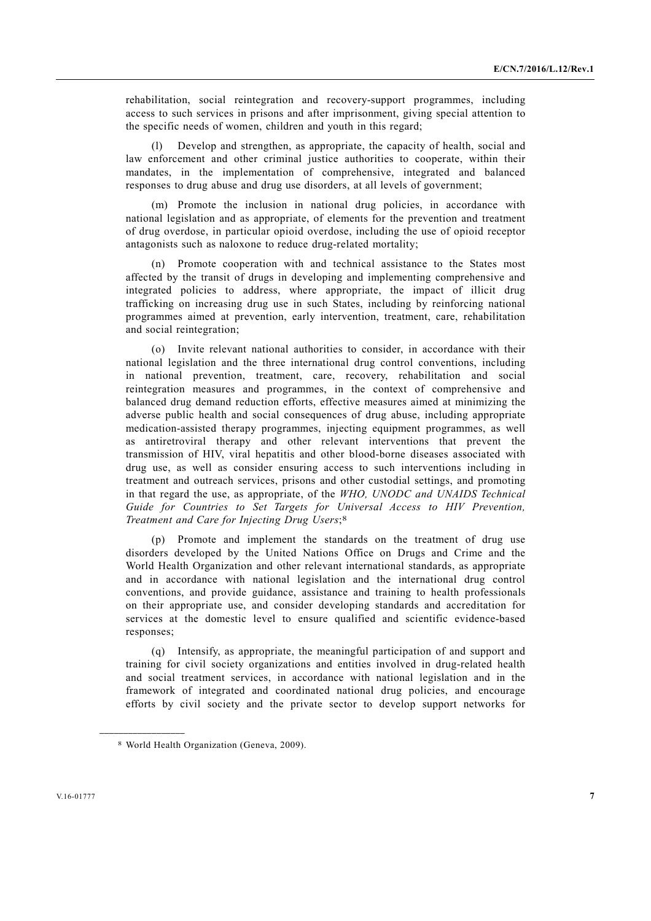rehabilitation, social reintegration and recovery-support programmes, including access to such services in prisons and after imprisonment, giving special attention to the specific needs of women, children and youth in this regard;

Develop and strengthen, as appropriate, the capacity of health, social and law enforcement and other criminal justice authorities to cooperate, within their mandates, in the implementation of comprehensive, integrated and balanced responses to drug abuse and drug use disorders, at all levels of government;

 (m) Promote the inclusion in national drug policies, in accordance with national legislation and as appropriate, of elements for the prevention and treatment of drug overdose, in particular opioid overdose, including the use of opioid receptor antagonists such as naloxone to reduce drug-related mortality;

 (n) Promote cooperation with and technical assistance to the States most affected by the transit of drugs in developing and implementing comprehensive and integrated policies to address, where appropriate, the impact of illicit drug trafficking on increasing drug use in such States, including by reinforcing national programmes aimed at prevention, early intervention, treatment, care, rehabilitation and social reintegration;

 (o) Invite relevant national authorities to consider, in accordance with their national legislation and the three international drug control conventions, including in national prevention, treatment, care, recovery, rehabilitation and social reintegration measures and programmes, in the context of comprehensive and balanced drug demand reduction efforts, effective measures aimed at minimizing the adverse public health and social consequences of drug abuse, including appropriate medication-assisted therapy programmes, injecting equipment programmes, as well as antiretroviral therapy and other relevant interventions that prevent the transmission of HIV, viral hepatitis and other blood-borne diseases associated with drug use, as well as consider ensuring access to such interventions including in treatment and outreach services, prisons and other custodial settings, and promoting in that regard the use, as appropriate, of the *WHO, UNODC and UNAIDS Technical Guide for Countries to Set Targets for Universal Access to HIV Prevention, Treatment and Care for Injecting Drug Users*;8

 (p) Promote and implement the standards on the treatment of drug use disorders developed by the United Nations Office on Drugs and Crime and the World Health Organization and other relevant international standards, as appropriate and in accordance with national legislation and the international drug control conventions, and provide guidance, assistance and training to health professionals on their appropriate use, and consider developing standards and accreditation for services at the domestic level to ensure qualified and scientific evidence-based responses;

 (q) Intensify, as appropriate, the meaningful participation of and support and training for civil society organizations and entities involved in drug-related health and social treatment services, in accordance with national legislation and in the framework of integrated and coordinated national drug policies, and encourage efforts by civil society and the private sector to develop support networks for

<sup>8</sup> World Health Organization (Geneva, 2009).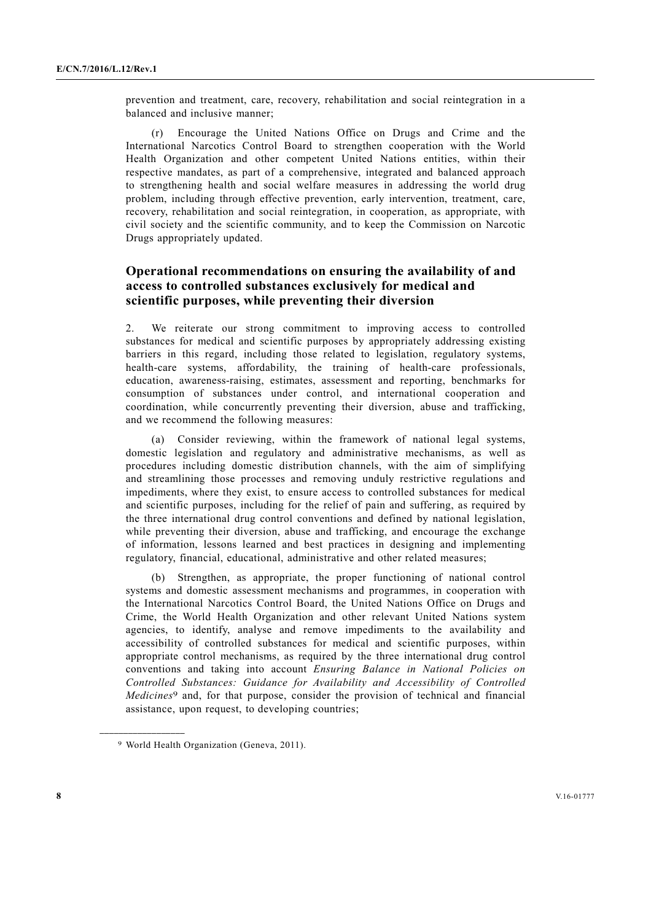prevention and treatment, care, recovery, rehabilitation and social reintegration in a balanced and inclusive manner;

 (r) Encourage the United Nations Office on Drugs and Crime and the International Narcotics Control Board to strengthen cooperation with the World Health Organization and other competent United Nations entities, within their respective mandates, as part of a comprehensive, integrated and balanced approach to strengthening health and social welfare measures in addressing the world drug problem, including through effective prevention, early intervention, treatment, care, recovery, rehabilitation and social reintegration, in cooperation, as appropriate, with civil society and the scientific community, and to keep the Commission on Narcotic Drugs appropriately updated.

## **Operational recommendations on ensuring the availability of and access to controlled substances exclusively for medical and scientific purposes, while preventing their diversion**

2. We reiterate our strong commitment to improving access to controlled substances for medical and scientific purposes by appropriately addressing existing barriers in this regard, including those related to legislation, regulatory systems, health-care systems, affordability, the training of health-care professionals, education, awareness-raising, estimates, assessment and reporting, benchmarks for consumption of substances under control, and international cooperation and coordination, while concurrently preventing their diversion, abuse and trafficking, and we recommend the following measures:

 (a) Consider reviewing, within the framework of national legal systems, domestic legislation and regulatory and administrative mechanisms, as well as procedures including domestic distribution channels, with the aim of simplifying and streamlining those processes and removing unduly restrictive regulations and impediments, where they exist, to ensure access to controlled substances for medical and scientific purposes, including for the relief of pain and suffering, as required by the three international drug control conventions and defined by national legislation, while preventing their diversion, abuse and trafficking, and encourage the exchange of information, lessons learned and best practices in designing and implementing regulatory, financial, educational, administrative and other related measures;

Strengthen, as appropriate, the proper functioning of national control systems and domestic assessment mechanisms and programmes, in cooperation with the International Narcotics Control Board, the United Nations Office on Drugs and Crime, the World Health Organization and other relevant United Nations system agencies, to identify, analyse and remove impediments to the availability and accessibility of controlled substances for medical and scientific purposes, within appropriate control mechanisms, as required by the three international drug control conventions and taking into account *Ensuring Balance in National Policies on Controlled Substances: Guidance for Availability and Accessibility of Controlled Medicines*9 and, for that purpose, consider the provision of technical and financial assistance, upon request, to developing countries;

<sup>9</sup> World Health Organization (Geneva, 2011).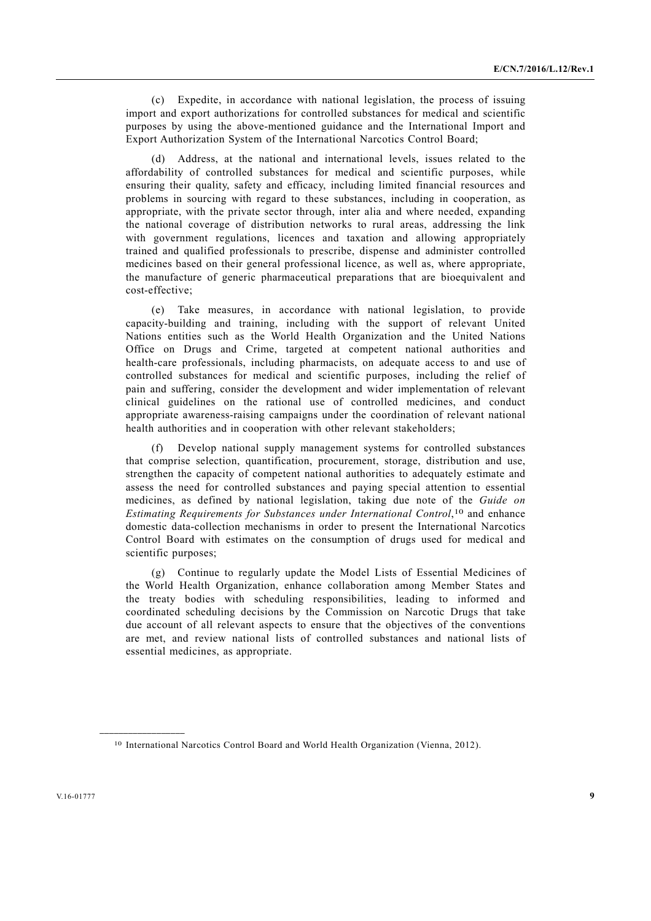(c) Expedite, in accordance with national legislation, the process of issuing import and export authorizations for controlled substances for medical and scientific purposes by using the above-mentioned guidance and the International Import and Export Authorization System of the International Narcotics Control Board;

 (d) Address, at the national and international levels, issues related to the affordability of controlled substances for medical and scientific purposes, while ensuring their quality, safety and efficacy, including limited financial resources and problems in sourcing with regard to these substances, including in cooperation, as appropriate, with the private sector through, inter alia and where needed, expanding the national coverage of distribution networks to rural areas, addressing the link with government regulations, licences and taxation and allowing appropriately trained and qualified professionals to prescribe, dispense and administer controlled medicines based on their general professional licence, as well as, where appropriate, the manufacture of generic pharmaceutical preparations that are bioequivalent and cost-effective;

 (e) Take measures, in accordance with national legislation, to provide capacity-building and training, including with the support of relevant United Nations entities such as the World Health Organization and the United Nations Office on Drugs and Crime, targeted at competent national authorities and health-care professionals, including pharmacists, on adequate access to and use of controlled substances for medical and scientific purposes, including the relief of pain and suffering, consider the development and wider implementation of relevant clinical guidelines on the rational use of controlled medicines, and conduct appropriate awareness-raising campaigns under the coordination of relevant national health authorities and in cooperation with other relevant stakeholders;

 (f) Develop national supply management systems for controlled substances that comprise selection, quantification, procurement, storage, distribution and use, strengthen the capacity of competent national authorities to adequately estimate and assess the need for controlled substances and paying special attention to essential medicines, as defined by national legislation, taking due note of the *Guide on Estimating Requirements for Substances under International Control*,10 and enhance domestic data-collection mechanisms in order to present the International Narcotics Control Board with estimates on the consumption of drugs used for medical and scientific purposes;

 (g) Continue to regularly update the Model Lists of Essential Medicines of the World Health Organization, enhance collaboration among Member States and the treaty bodies with scheduling responsibilities, leading to informed and coordinated scheduling decisions by the Commission on Narcotic Drugs that take due account of all relevant aspects to ensure that the objectives of the conventions are met, and review national lists of controlled substances and national lists of essential medicines, as appropriate.

<sup>10</sup> International Narcotics Control Board and World Health Organization (Vienna, 2012).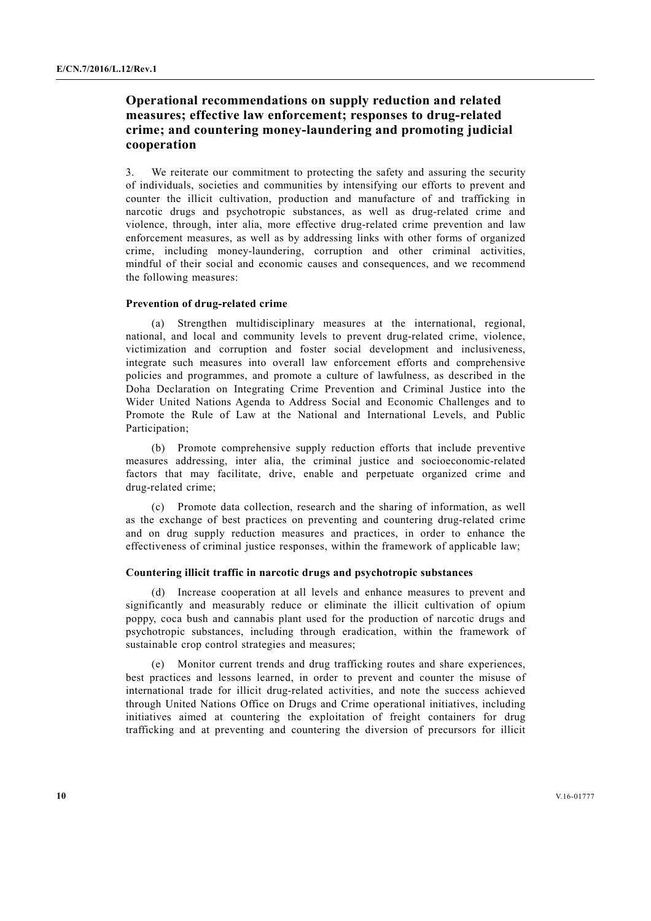## **Operational recommendations on supply reduction and related measures; effective law enforcement; responses to drug-related crime; and countering money-laundering and promoting judicial cooperation**

We reiterate our commitment to protecting the safety and assuring the security of individuals, societies and communities by intensifying our efforts to prevent and counter the illicit cultivation, production and manufacture of and trafficking in narcotic drugs and psychotropic substances, as well as drug-related crime and violence, through, inter alia, more effective drug-related crime prevention and law enforcement measures, as well as by addressing links with other forms of organized crime, including money-laundering, corruption and other criminal activities, mindful of their social and economic causes and consequences, and we recommend the following measures:

#### **Prevention of drug-related crime**

 (a) Strengthen multidisciplinary measures at the international, regional, national, and local and community levels to prevent drug-related crime, violence, victimization and corruption and foster social development and inclusiveness, integrate such measures into overall law enforcement efforts and comprehensive policies and programmes, and promote a culture of lawfulness, as described in the Doha Declaration on Integrating Crime Prevention and Criminal Justice into the Wider United Nations Agenda to Address Social and Economic Challenges and to Promote the Rule of Law at the National and International Levels, and Public Participation:

 (b) Promote comprehensive supply reduction efforts that include preventive measures addressing, inter alia, the criminal justice and socioeconomic-related factors that may facilitate, drive, enable and perpetuate organized crime and drug-related crime;

 (c) Promote data collection, research and the sharing of information, as well as the exchange of best practices on preventing and countering drug-related crime and on drug supply reduction measures and practices, in order to enhance the effectiveness of criminal justice responses, within the framework of applicable law;

#### **Countering illicit traffic in narcotic drugs and psychotropic substances**

 (d) Increase cooperation at all levels and enhance measures to prevent and significantly and measurably reduce or eliminate the illicit cultivation of opium poppy, coca bush and cannabis plant used for the production of narcotic drugs and psychotropic substances, including through eradication, within the framework of sustainable crop control strategies and measures;

 (e) Monitor current trends and drug trafficking routes and share experiences, best practices and lessons learned, in order to prevent and counter the misuse of international trade for illicit drug-related activities, and note the success achieved through United Nations Office on Drugs and Crime operational initiatives, including initiatives aimed at countering the exploitation of freight containers for drug trafficking and at preventing and countering the diversion of precursors for illicit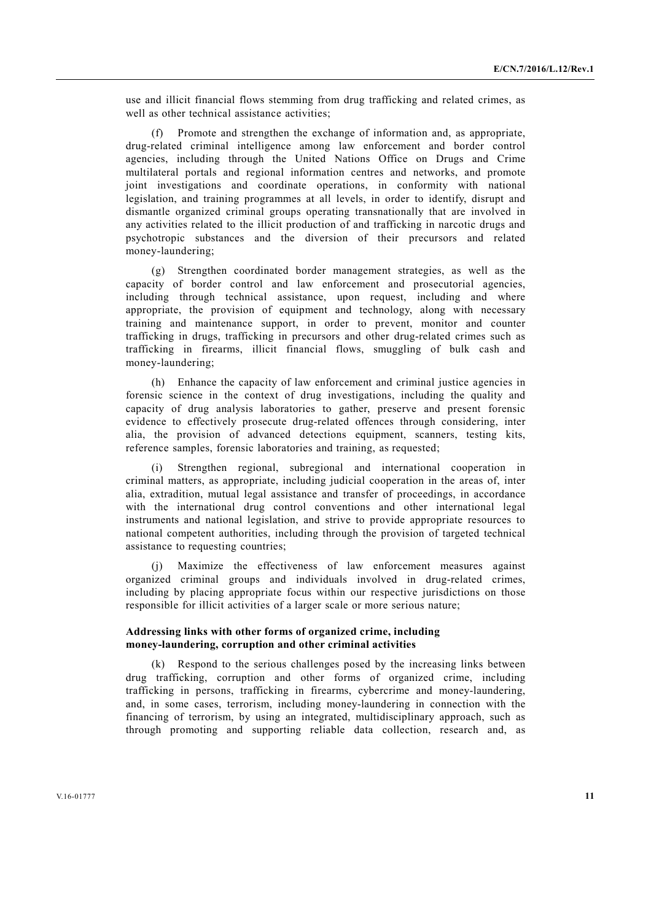use and illicit financial flows stemming from drug trafficking and related crimes, as well as other technical assistance activities;

 (f) Promote and strengthen the exchange of information and, as appropriate, drug-related criminal intelligence among law enforcement and border control agencies, including through the United Nations Office on Drugs and Crime multilateral portals and regional information centres and networks, and promote joint investigations and coordinate operations, in conformity with national legislation, and training programmes at all levels, in order to identify, disrupt and dismantle organized criminal groups operating transnationally that are involved in any activities related to the illicit production of and trafficking in narcotic drugs and psychotropic substances and the diversion of their precursors and related money-laundering;

 (g) Strengthen coordinated border management strategies, as well as the capacity of border control and law enforcement and prosecutorial agencies, including through technical assistance, upon request, including and where appropriate, the provision of equipment and technology, along with necessary training and maintenance support, in order to prevent, monitor and counter trafficking in drugs, trafficking in precursors and other drug-related crimes such as trafficking in firearms, illicit financial flows, smuggling of bulk cash and money-laundering;

 (h) Enhance the capacity of law enforcement and criminal justice agencies in forensic science in the context of drug investigations, including the quality and capacity of drug analysis laboratories to gather, preserve and present forensic evidence to effectively prosecute drug-related offences through considering, inter alia, the provision of advanced detections equipment, scanners, testing kits, reference samples, forensic laboratories and training, as requested;

 (i) Strengthen regional, subregional and international cooperation in criminal matters, as appropriate, including judicial cooperation in the areas of, inter alia, extradition, mutual legal assistance and transfer of proceedings, in accordance with the international drug control conventions and other international legal instruments and national legislation, and strive to provide appropriate resources to national competent authorities, including through the provision of targeted technical assistance to requesting countries;

 (j) Maximize the effectiveness of law enforcement measures against organized criminal groups and individuals involved in drug-related crimes, including by placing appropriate focus within our respective jurisdictions on those responsible for illicit activities of a larger scale or more serious nature;

#### **Addressing links with other forms of organized crime, including money-laundering, corruption and other criminal activities**

 (k) Respond to the serious challenges posed by the increasing links between drug trafficking, corruption and other forms of organized crime, including trafficking in persons, trafficking in firearms, cybercrime and money-laundering, and, in some cases, terrorism, including money-laundering in connection with the financing of terrorism, by using an integrated, multidisciplinary approach, such as through promoting and supporting reliable data collection, research and, as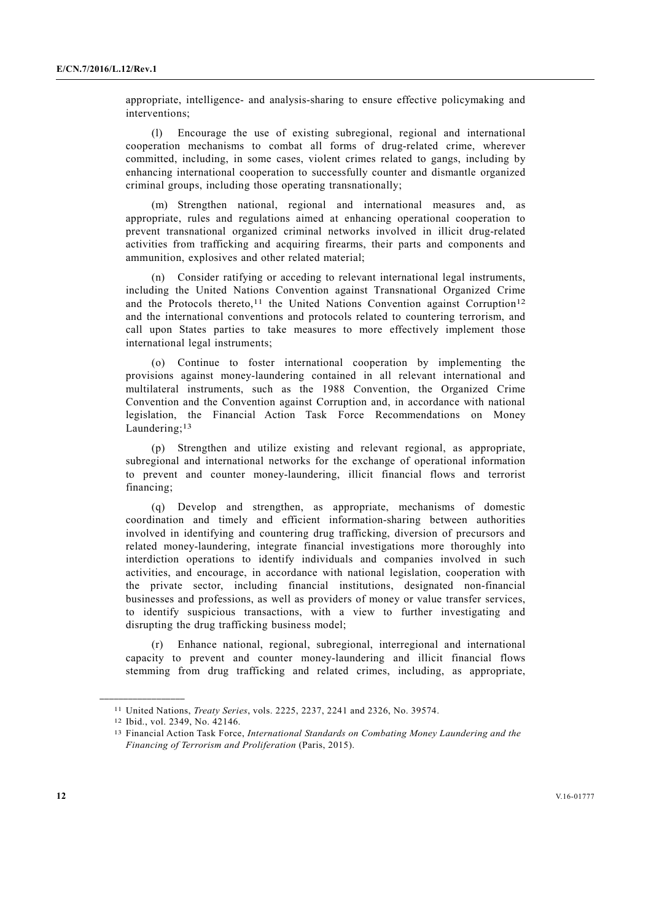appropriate, intelligence- and analysis-sharing to ensure effective policymaking and interventions;

 (l) Encourage the use of existing subregional, regional and international cooperation mechanisms to combat all forms of drug-related crime, wherever committed, including, in some cases, violent crimes related to gangs, including by enhancing international cooperation to successfully counter and dismantle organized criminal groups, including those operating transnationally;

 (m) Strengthen national, regional and international measures and, as appropriate, rules and regulations aimed at enhancing operational cooperation to prevent transnational organized criminal networks involved in illicit drug-related activities from trafficking and acquiring firearms, their parts and components and ammunition, explosives and other related material;

 (n) Consider ratifying or acceding to relevant international legal instruments, including the United Nations Convention against Transnational Organized Crime and the Protocols thereto,<sup>11</sup> the United Nations Convention against Corruption<sup>12</sup> and the international conventions and protocols related to countering terrorism, and call upon States parties to take measures to more effectively implement those international legal instruments;

 (o) Continue to foster international cooperation by implementing the provisions against money-laundering contained in all relevant international and multilateral instruments, such as the 1988 Convention, the Organized Crime Convention and the Convention against Corruption and, in accordance with national legislation, the Financial Action Task Force Recommendations on Money Laundering;<sup>13</sup>

 (p) Strengthen and utilize existing and relevant regional, as appropriate, subregional and international networks for the exchange of operational information to prevent and counter money-laundering, illicit financial flows and terrorist financing;

 (q) Develop and strengthen, as appropriate, mechanisms of domestic coordination and timely and efficient information-sharing between authorities involved in identifying and countering drug trafficking, diversion of precursors and related money-laundering, integrate financial investigations more thoroughly into interdiction operations to identify individuals and companies involved in such activities, and encourage, in accordance with national legislation, cooperation with the private sector, including financial institutions, designated non-financial businesses and professions, as well as providers of money or value transfer services, to identify suspicious transactions, with a view to further investigating and disrupting the drug trafficking business model;

 (r) Enhance national, regional, subregional, interregional and international capacity to prevent and counter money-laundering and illicit financial flows stemming from drug trafficking and related crimes, including, as appropriate,

<sup>11</sup> United Nations, *Treaty Series*, vols. 2225, 2237, 2241 and 2326, No. 39574. 12 Ibid., vol. 2349, No. 42146.

<sup>13</sup> Financial Action Task Force, *International Standards on Combating Money Laundering and the Financing of Terrorism and Proliferation* (Paris, 2015).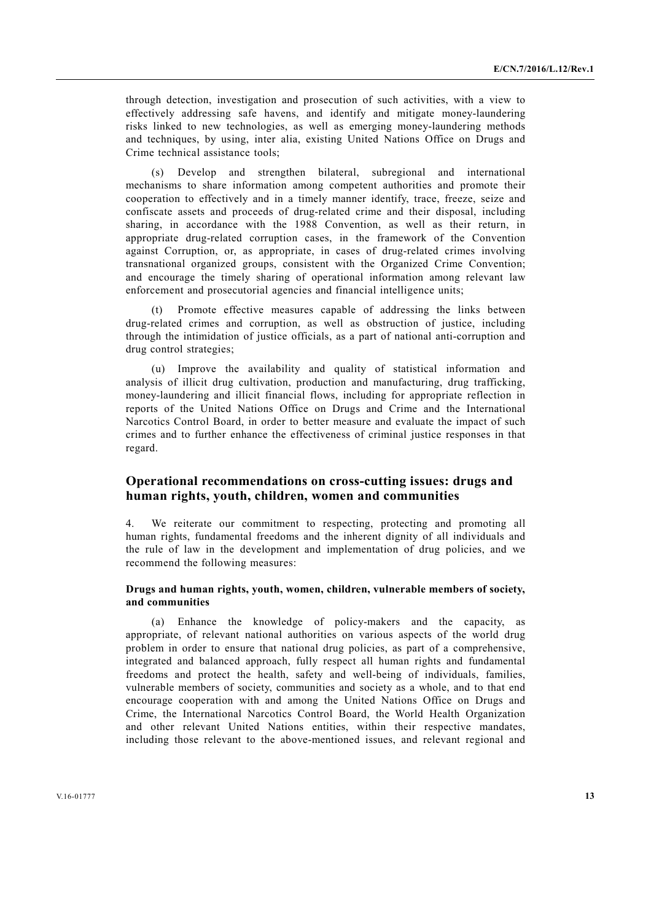through detection, investigation and prosecution of such activities, with a view to effectively addressing safe havens, and identify and mitigate money-laundering risks linked to new technologies, as well as emerging money-laundering methods and techniques, by using, inter alia, existing United Nations Office on Drugs and Crime technical assistance tools;

 (s) Develop and strengthen bilateral, subregional and international mechanisms to share information among competent authorities and promote their cooperation to effectively and in a timely manner identify, trace, freeze, seize and confiscate assets and proceeds of drug-related crime and their disposal, including sharing, in accordance with the 1988 Convention, as well as their return, in appropriate drug-related corruption cases, in the framework of the Convention against Corruption, or, as appropriate, in cases of drug-related crimes involving transnational organized groups, consistent with the Organized Crime Convention; and encourage the timely sharing of operational information among relevant law enforcement and prosecutorial agencies and financial intelligence units;

Promote effective measures capable of addressing the links between drug-related crimes and corruption, as well as obstruction of justice, including through the intimidation of justice officials, as a part of national anti-corruption and drug control strategies;

 (u) Improve the availability and quality of statistical information and analysis of illicit drug cultivation, production and manufacturing, drug trafficking, money-laundering and illicit financial flows, including for appropriate reflection in reports of the United Nations Office on Drugs and Crime and the International Narcotics Control Board, in order to better measure and evaluate the impact of such crimes and to further enhance the effectiveness of criminal justice responses in that regard.

### **Operational recommendations on cross-cutting issues: drugs and human rights, youth, children, women and communities**

4. We reiterate our commitment to respecting, protecting and promoting all human rights, fundamental freedoms and the inherent dignity of all individuals and the rule of law in the development and implementation of drug policies, and we recommend the following measures:

#### **Drugs and human rights, youth, women, children, vulnerable members of society, and communities**

 (a) Enhance the knowledge of policy-makers and the capacity, as appropriate, of relevant national authorities on various aspects of the world drug problem in order to ensure that national drug policies, as part of a comprehensive, integrated and balanced approach, fully respect all human rights and fundamental freedoms and protect the health, safety and well-being of individuals, families, vulnerable members of society, communities and society as a whole, and to that end encourage cooperation with and among the United Nations Office on Drugs and Crime, the International Narcotics Control Board, the World Health Organization and other relevant United Nations entities, within their respective mandates, including those relevant to the above-mentioned issues, and relevant regional and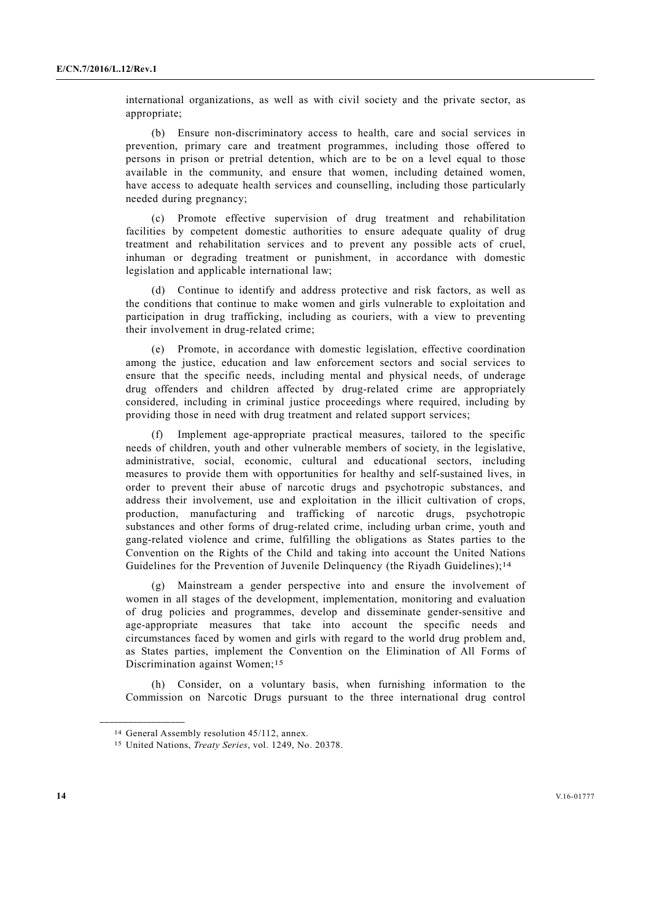international organizations, as well as with civil society and the private sector, as appropriate;

 (b) Ensure non-discriminatory access to health, care and social services in prevention, primary care and treatment programmes, including those offered to persons in prison or pretrial detention, which are to be on a level equal to those available in the community, and ensure that women, including detained women, have access to adequate health services and counselling, including those particularly needed during pregnancy;

 (c) Promote effective supervision of drug treatment and rehabilitation facilities by competent domestic authorities to ensure adequate quality of drug treatment and rehabilitation services and to prevent any possible acts of cruel, inhuman or degrading treatment or punishment, in accordance with domestic legislation and applicable international law;

 (d) Continue to identify and address protective and risk factors, as well as the conditions that continue to make women and girls vulnerable to exploitation and participation in drug trafficking, including as couriers, with a view to preventing their involvement in drug-related crime;

 (e) Promote, in accordance with domestic legislation, effective coordination among the justice, education and law enforcement sectors and social services to ensure that the specific needs, including mental and physical needs, of underage drug offenders and children affected by drug-related crime are appropriately considered, including in criminal justice proceedings where required, including by providing those in need with drug treatment and related support services;

 (f) Implement age-appropriate practical measures, tailored to the specific needs of children, youth and other vulnerable members of society, in the legislative, administrative, social, economic, cultural and educational sectors, including measures to provide them with opportunities for healthy and self-sustained lives, in order to prevent their abuse of narcotic drugs and psychotropic substances, and address their involvement, use and exploitation in the illicit cultivation of crops, production, manufacturing and trafficking of narcotic drugs, psychotropic substances and other forms of drug-related crime, including urban crime, youth and gang-related violence and crime, fulfilling the obligations as States parties to the Convention on the Rights of the Child and taking into account the United Nations Guidelines for the Prevention of Juvenile Delinquency (the Riyadh Guidelines);<sup>14</sup>

 (g) Mainstream a gender perspective into and ensure the involvement of women in all stages of the development, implementation, monitoring and evaluation of drug policies and programmes, develop and disseminate gender-sensitive and age-appropriate measures that take into account the specific needs and circumstances faced by women and girls with regard to the world drug problem and, as States parties, implement the Convention on the Elimination of All Forms of Discrimination against Women;<sup>15</sup>

 (h) Consider, on a voluntary basis, when furnishing information to the Commission on Narcotic Drugs pursuant to the three international drug control

<sup>14</sup> General Assembly resolution 45/112, annex.

<sup>15</sup> United Nations, *Treaty Series*, vol. 1249, No. 20378.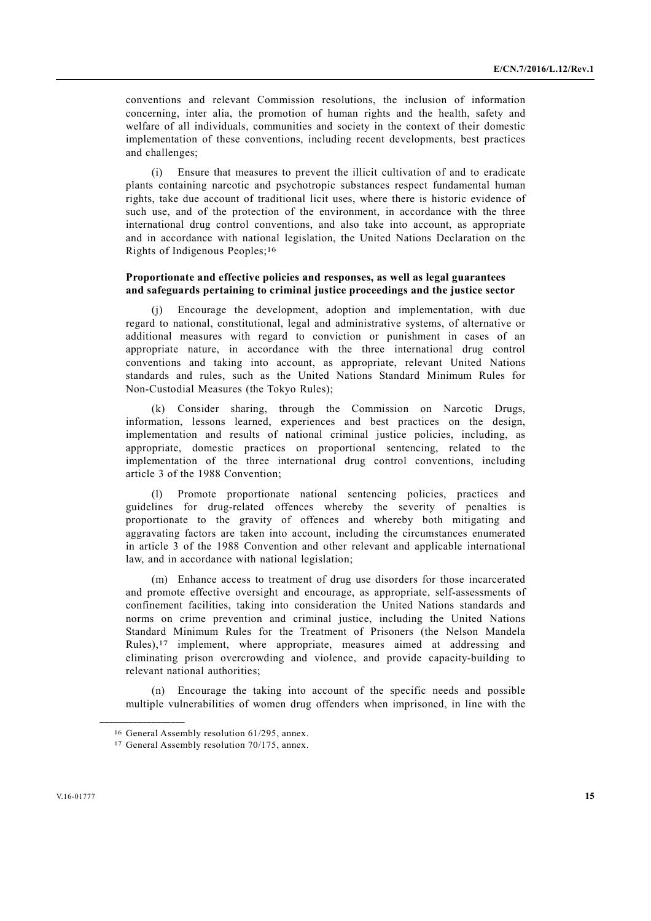conventions and relevant Commission resolutions, the inclusion of information concerning, inter alia, the promotion of human rights and the health, safety and welfare of all individuals, communities and society in the context of their domestic implementation of these conventions, including recent developments, best practices and challenges;

 (i) Ensure that measures to prevent the illicit cultivation of and to eradicate plants containing narcotic and psychotropic substances respect fundamental human rights, take due account of traditional licit uses, where there is historic evidence of such use, and of the protection of the environment, in accordance with the three international drug control conventions, and also take into account, as appropriate and in accordance with national legislation, the United Nations Declaration on the Rights of Indigenous Peoples;16

### **Proportionate and effective policies and responses, as well as legal guarantees and safeguards pertaining to criminal justice proceedings and the justice sector**

Encourage the development, adoption and implementation, with due regard to national, constitutional, legal and administrative systems, of alternative or additional measures with regard to conviction or punishment in cases of an appropriate nature, in accordance with the three international drug control conventions and taking into account, as appropriate, relevant United Nations standards and rules, such as the United Nations Standard Minimum Rules for Non-Custodial Measures (the Tokyo Rules);

 (k) Consider sharing, through the Commission on Narcotic Drugs, information, lessons learned, experiences and best practices on the design, implementation and results of national criminal justice policies, including, as appropriate, domestic practices on proportional sentencing, related to the implementation of the three international drug control conventions, including article 3 of the 1988 Convention;

 (l) Promote proportionate national sentencing policies, practices and guidelines for drug-related offences whereby the severity of penalties is proportionate to the gravity of offences and whereby both mitigating and aggravating factors are taken into account, including the circumstances enumerated in article 3 of the 1988 Convention and other relevant and applicable international law, and in accordance with national legislation;

 (m) Enhance access to treatment of drug use disorders for those incarcerated and promote effective oversight and encourage, as appropriate, self-assessments of confinement facilities, taking into consideration the United Nations standards and norms on crime prevention and criminal justice, including the United Nations Standard Minimum Rules for the Treatment of Prisoners (the Nelson Mandela Rules),17 implement, where appropriate, measures aimed at addressing and eliminating prison overcrowding and violence, and provide capacity-building to relevant national authorities;

 (n) Encourage the taking into account of the specific needs and possible multiple vulnerabilities of women drug offenders when imprisoned, in line with the

<sup>16</sup> General Assembly resolution 61/295, annex.

<sup>17</sup> General Assembly resolution 70/175, annex.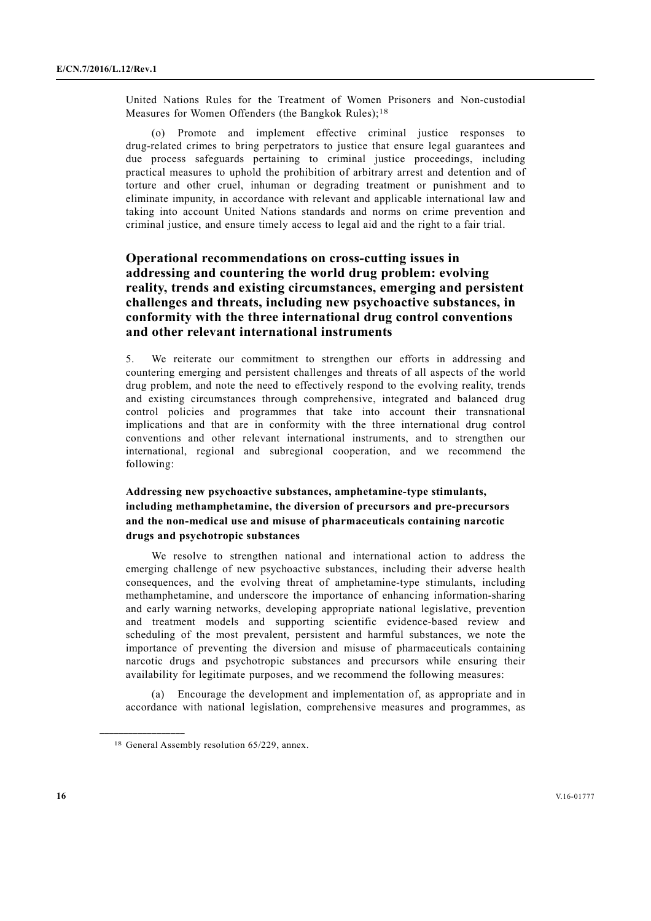United Nations Rules for the Treatment of Women Prisoners and Non-custodial Measures for Women Offenders (the Bangkok Rules);<sup>18</sup>

 (o) Promote and implement effective criminal justice responses to drug-related crimes to bring perpetrators to justice that ensure legal guarantees and due process safeguards pertaining to criminal justice proceedings, including practical measures to uphold the prohibition of arbitrary arrest and detention and of torture and other cruel, inhuman or degrading treatment or punishment and to eliminate impunity, in accordance with relevant and applicable international law and taking into account United Nations standards and norms on crime prevention and criminal justice, and ensure timely access to legal aid and the right to a fair trial.

## **Operational recommendations on cross-cutting issues in addressing and countering the world drug problem: evolving reality, trends and existing circumstances, emerging and persistent challenges and threats, including new psychoactive substances, in conformity with the three international drug control conventions and other relevant international instruments**

5. We reiterate our commitment to strengthen our efforts in addressing and countering emerging and persistent challenges and threats of all aspects of the world drug problem, and note the need to effectively respond to the evolving reality, trends and existing circumstances through comprehensive, integrated and balanced drug control policies and programmes that take into account their transnational implications and that are in conformity with the three international drug control conventions and other relevant international instruments, and to strengthen our international, regional and subregional cooperation, and we recommend the following:

### **Addressing new psychoactive substances, amphetamine-type stimulants, including methamphetamine, the diversion of precursors and pre-precursors and the non-medical use and misuse of pharmaceuticals containing narcotic drugs and psychotropic substances**

 We resolve to strengthen national and international action to address the emerging challenge of new psychoactive substances, including their adverse health consequences, and the evolving threat of amphetamine-type stimulants, including methamphetamine, and underscore the importance of enhancing information-sharing and early warning networks, developing appropriate national legislative, prevention and treatment models and supporting scientific evidence-based review and scheduling of the most prevalent, persistent and harmful substances, we note the importance of preventing the diversion and misuse of pharmaceuticals containing narcotic drugs and psychotropic substances and precursors while ensuring their availability for legitimate purposes, and we recommend the following measures:

 (a) Encourage the development and implementation of, as appropriate and in accordance with national legislation, comprehensive measures and programmes, as

<sup>18</sup> General Assembly resolution 65/229, annex.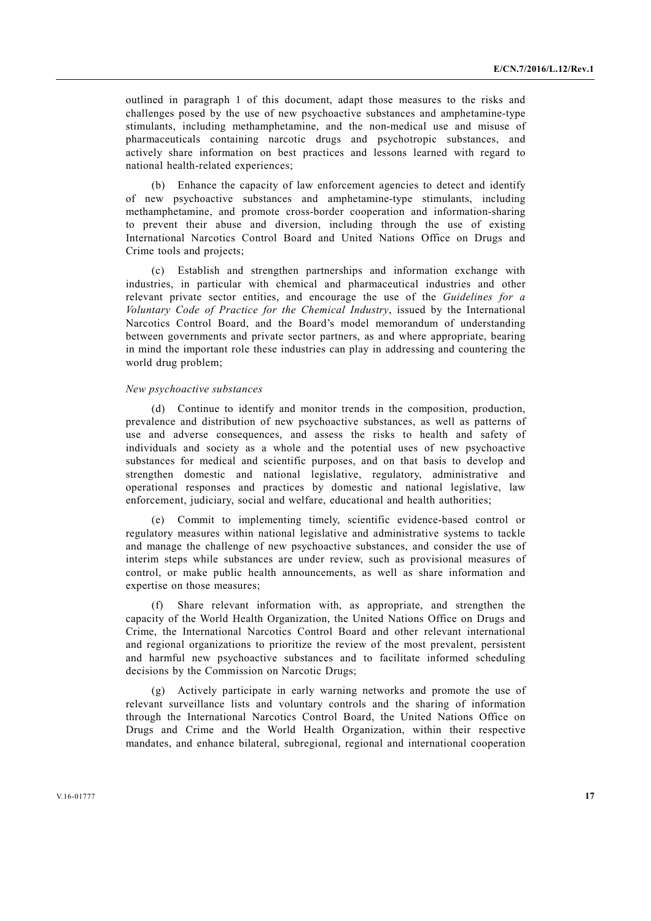outlined in paragraph 1 of this document, adapt those measures to the risks and challenges posed by the use of new psychoactive substances and amphetamine-type stimulants, including methamphetamine, and the non-medical use and misuse of pharmaceuticals containing narcotic drugs and psychotropic substances, and actively share information on best practices and lessons learned with regard to national health-related experiences;

 (b) Enhance the capacity of law enforcement agencies to detect and identify of new psychoactive substances and amphetamine-type stimulants, including methamphetamine, and promote cross-border cooperation and information-sharing to prevent their abuse and diversion, including through the use of existing International Narcotics Control Board and United Nations Office on Drugs and Crime tools and projects;

 (c) Establish and strengthen partnerships and information exchange with industries, in particular with chemical and pharmaceutical industries and other relevant private sector entities, and encourage the use of the *Guidelines for a Voluntary Code of Practice for the Chemical Industry*, issued by the International Narcotics Control Board, and the Board's model memorandum of understanding between governments and private sector partners, as and where appropriate, bearing in mind the important role these industries can play in addressing and countering the world drug problem;

#### *New psychoactive substances*

 (d) Continue to identify and monitor trends in the composition, production, prevalence and distribution of new psychoactive substances, as well as patterns of use and adverse consequences, and assess the risks to health and safety of individuals and society as a whole and the potential uses of new psychoactive substances for medical and scientific purposes, and on that basis to develop and strengthen domestic and national legislative, regulatory, administrative and operational responses and practices by domestic and national legislative, law enforcement, judiciary, social and welfare, educational and health authorities;

 (e) Commit to implementing timely, scientific evidence-based control or regulatory measures within national legislative and administrative systems to tackle and manage the challenge of new psychoactive substances, and consider the use of interim steps while substances are under review, such as provisional measures of control, or make public health announcements, as well as share information and expertise on those measures;

 (f) Share relevant information with, as appropriate, and strengthen the capacity of the World Health Organization, the United Nations Office on Drugs and Crime, the International Narcotics Control Board and other relevant international and regional organizations to prioritize the review of the most prevalent, persistent and harmful new psychoactive substances and to facilitate informed scheduling decisions by the Commission on Narcotic Drugs;

 (g) Actively participate in early warning networks and promote the use of relevant surveillance lists and voluntary controls and the sharing of information through the International Narcotics Control Board, the United Nations Office on Drugs and Crime and the World Health Organization, within their respective mandates, and enhance bilateral, subregional, regional and international cooperation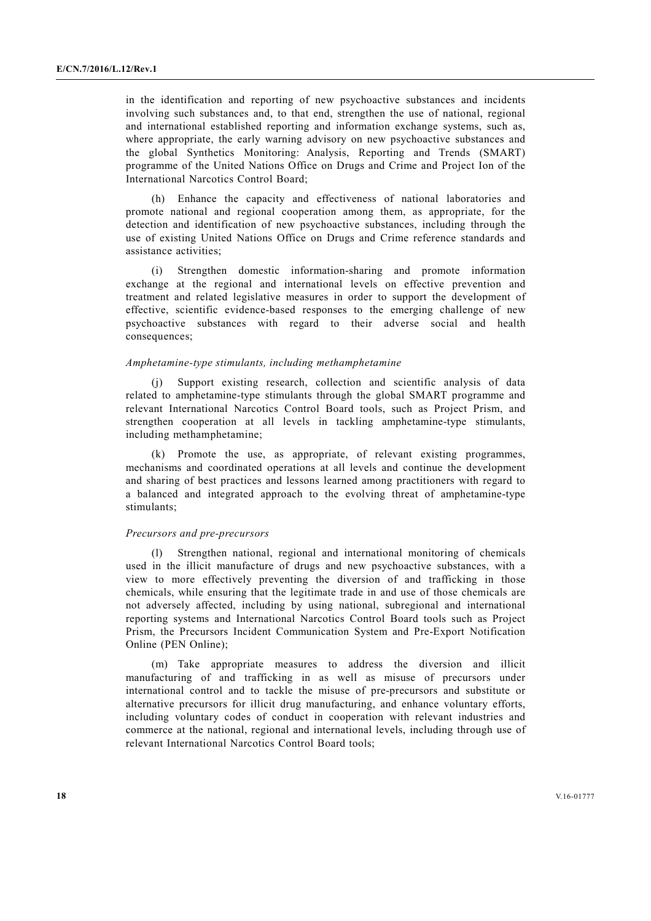in the identification and reporting of new psychoactive substances and incidents involving such substances and, to that end, strengthen the use of national, regional and international established reporting and information exchange systems, such as, where appropriate, the early warning advisory on new psychoactive substances and the global Synthetics Monitoring: Analysis, Reporting and Trends (SMART) programme of the United Nations Office on Drugs and Crime and Project Ion of the International Narcotics Control Board;

 (h) Enhance the capacity and effectiveness of national laboratories and promote national and regional cooperation among them, as appropriate, for the detection and identification of new psychoactive substances, including through the use of existing United Nations Office on Drugs and Crime reference standards and assistance activities;

 (i) Strengthen domestic information-sharing and promote information exchange at the regional and international levels on effective prevention and treatment and related legislative measures in order to support the development of effective, scientific evidence-based responses to the emerging challenge of new psychoactive substances with regard to their adverse social and health consequences;

#### *Amphetamine-type stimulants, including methamphetamine*

 (j) Support existing research, collection and scientific analysis of data related to amphetamine-type stimulants through the global SMART programme and relevant International Narcotics Control Board tools, such as Project Prism, and strengthen cooperation at all levels in tackling amphetamine-type stimulants, including methamphetamine;

 (k) Promote the use, as appropriate, of relevant existing programmes, mechanisms and coordinated operations at all levels and continue the development and sharing of best practices and lessons learned among practitioners with regard to a balanced and integrated approach to the evolving threat of amphetamine-type stimulants;

#### *Precursors and pre-precursors*

 (l) Strengthen national, regional and international monitoring of chemicals used in the illicit manufacture of drugs and new psychoactive substances, with a view to more effectively preventing the diversion of and trafficking in those chemicals, while ensuring that the legitimate trade in and use of those chemicals are not adversely affected, including by using national, subregional and international reporting systems and International Narcotics Control Board tools such as Project Prism, the Precursors Incident Communication System and Pre-Export Notification Online (PEN Online);

 (m) Take appropriate measures to address the diversion and illicit manufacturing of and trafficking in as well as misuse of precursors under international control and to tackle the misuse of pre-precursors and substitute or alternative precursors for illicit drug manufacturing, and enhance voluntary efforts, including voluntary codes of conduct in cooperation with relevant industries and commerce at the national, regional and international levels, including through use of relevant International Narcotics Control Board tools;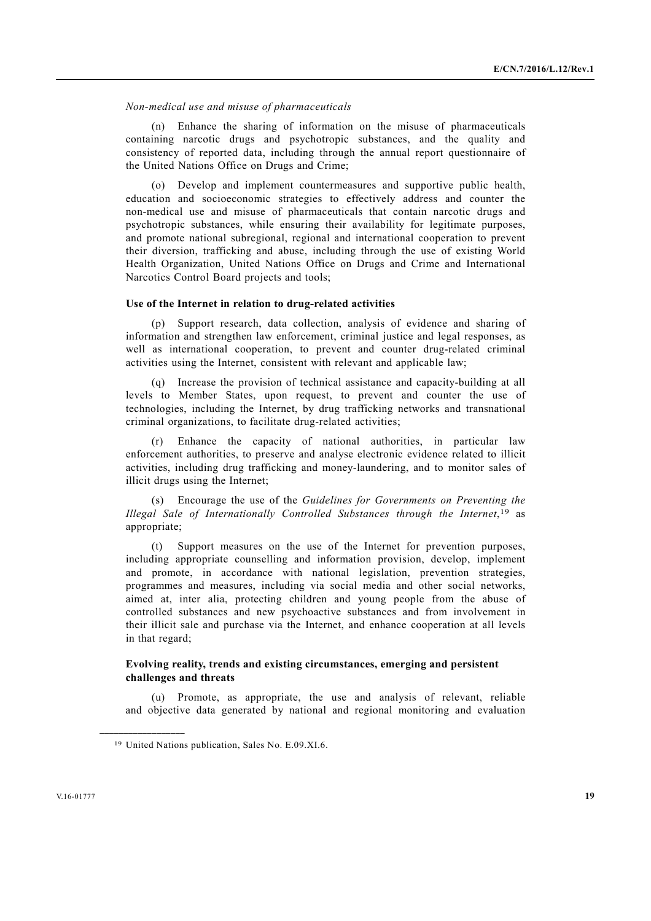*Non-medical use and misuse of pharmaceuticals* 

 (n) Enhance the sharing of information on the misuse of pharmaceuticals containing narcotic drugs and psychotropic substances, and the quality and consistency of reported data, including through the annual report questionnaire of the United Nations Office on Drugs and Crime;

 (o) Develop and implement countermeasures and supportive public health, education and socioeconomic strategies to effectively address and counter the non-medical use and misuse of pharmaceuticals that contain narcotic drugs and psychotropic substances, while ensuring their availability for legitimate purposes, and promote national subregional, regional and international cooperation to prevent their diversion, trafficking and abuse, including through the use of existing World Health Organization, United Nations Office on Drugs and Crime and International Narcotics Control Board projects and tools;

#### **Use of the Internet in relation to drug-related activities**

 (p) Support research, data collection, analysis of evidence and sharing of information and strengthen law enforcement, criminal justice and legal responses, as well as international cooperation, to prevent and counter drug-related criminal activities using the Internet, consistent with relevant and applicable law;

 (q) Increase the provision of technical assistance and capacity-building at all levels to Member States, upon request, to prevent and counter the use of technologies, including the Internet, by drug trafficking networks and transnational criminal organizations, to facilitate drug-related activities;

 (r) Enhance the capacity of national authorities, in particular law enforcement authorities, to preserve and analyse electronic evidence related to illicit activities, including drug trafficking and money-laundering, and to monitor sales of illicit drugs using the Internet;

 (s) Encourage the use of the *Guidelines for Governments on Preventing the Illegal Sale of Internationally Controlled Substances through the Internet*,19 as appropriate;

 (t) Support measures on the use of the Internet for prevention purposes, including appropriate counselling and information provision, develop, implement and promote, in accordance with national legislation, prevention strategies, programmes and measures, including via social media and other social networks, aimed at, inter alia, protecting children and young people from the abuse of controlled substances and new psychoactive substances and from involvement in their illicit sale and purchase via the Internet, and enhance cooperation at all levels in that regard;

#### **Evolving reality, trends and existing circumstances, emerging and persistent challenges and threats**

 (u) Promote, as appropriate, the use and analysis of relevant, reliable and objective data generated by national and regional monitoring and evaluation

<sup>19</sup> United Nations publication, Sales No. E.09.XI.6.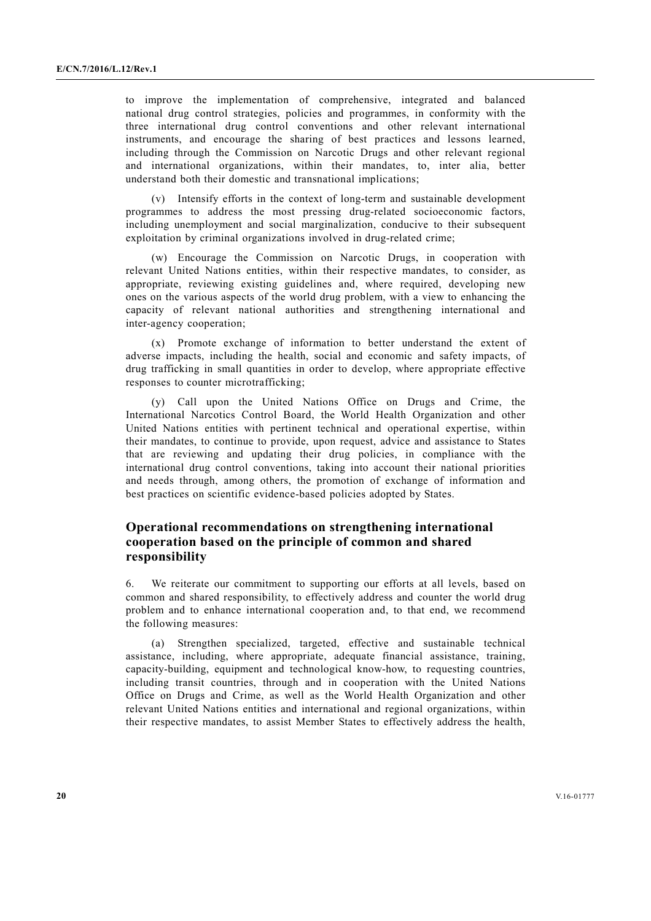to improve the implementation of comprehensive, integrated and balanced national drug control strategies, policies and programmes, in conformity with the three international drug control conventions and other relevant international instruments, and encourage the sharing of best practices and lessons learned, including through the Commission on Narcotic Drugs and other relevant regional and international organizations, within their mandates, to, inter alia, better understand both their domestic and transnational implications;

 (v) Intensify efforts in the context of long-term and sustainable development programmes to address the most pressing drug-related socioeconomic factors, including unemployment and social marginalization, conducive to their subsequent exploitation by criminal organizations involved in drug-related crime;

 (w) Encourage the Commission on Narcotic Drugs, in cooperation with relevant United Nations entities, within their respective mandates, to consider, as appropriate, reviewing existing guidelines and, where required, developing new ones on the various aspects of the world drug problem, with a view to enhancing the capacity of relevant national authorities and strengthening international and inter-agency cooperation;

 (x) Promote exchange of information to better understand the extent of adverse impacts, including the health, social and economic and safety impacts, of drug trafficking in small quantities in order to develop, where appropriate effective responses to counter microtrafficking;

 (y) Call upon the United Nations Office on Drugs and Crime, the International Narcotics Control Board, the World Health Organization and other United Nations entities with pertinent technical and operational expertise, within their mandates, to continue to provide, upon request, advice and assistance to States that are reviewing and updating their drug policies, in compliance with the international drug control conventions, taking into account their national priorities and needs through, among others, the promotion of exchange of information and best practices on scientific evidence-based policies adopted by States.

## **Operational recommendations on strengthening international cooperation based on the principle of common and shared responsibility**

6. We reiterate our commitment to supporting our efforts at all levels, based on common and shared responsibility, to effectively address and counter the world drug problem and to enhance international cooperation and, to that end, we recommend the following measures:

 (a) Strengthen specialized, targeted, effective and sustainable technical assistance, including, where appropriate, adequate financial assistance, training, capacity-building, equipment and technological know-how, to requesting countries, including transit countries, through and in cooperation with the United Nations Office on Drugs and Crime, as well as the World Health Organization and other relevant United Nations entities and international and regional organizations, within their respective mandates, to assist Member States to effectively address the health,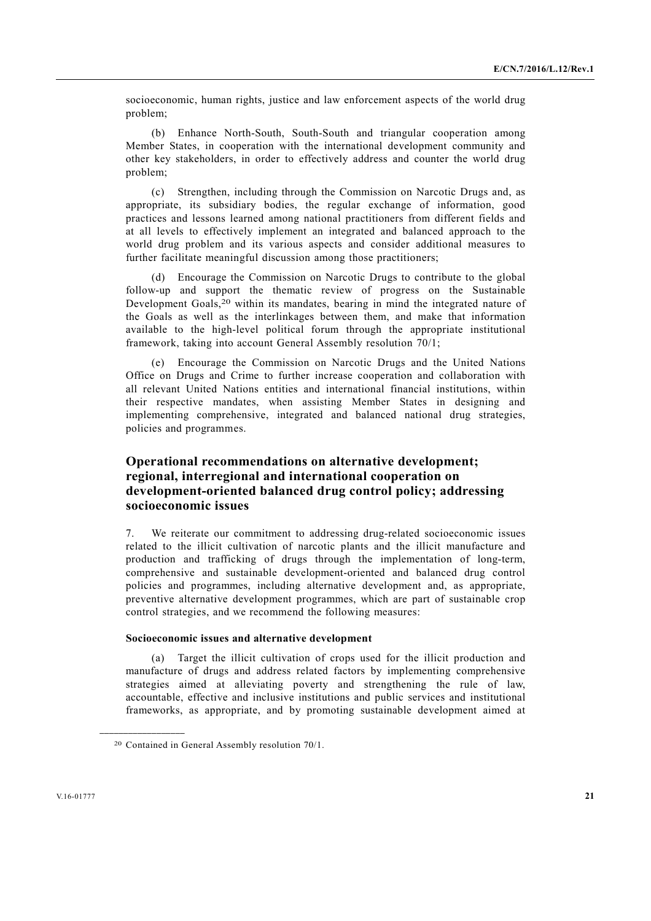socioeconomic, human rights, justice and law enforcement aspects of the world drug problem;

 (b) Enhance North-South, South-South and triangular cooperation among Member States, in cooperation with the international development community and other key stakeholders, in order to effectively address and counter the world drug problem;

 (c) Strengthen, including through the Commission on Narcotic Drugs and, as appropriate, its subsidiary bodies, the regular exchange of information, good practices and lessons learned among national practitioners from different fields and at all levels to effectively implement an integrated and balanced approach to the world drug problem and its various aspects and consider additional measures to further facilitate meaningful discussion among those practitioners;

 (d) Encourage the Commission on Narcotic Drugs to contribute to the global follow-up and support the thematic review of progress on the Sustainable Development Goals,<sup>20</sup> within its mandates, bearing in mind the integrated nature of the Goals as well as the interlinkages between them, and make that information available to the high-level political forum through the appropriate institutional framework, taking into account General Assembly resolution 70/1;

 (e) Encourage the Commission on Narcotic Drugs and the United Nations Office on Drugs and Crime to further increase cooperation and collaboration with all relevant United Nations entities and international financial institutions, within their respective mandates, when assisting Member States in designing and implementing comprehensive, integrated and balanced national drug strategies, policies and programmes.

## **Operational recommendations on alternative development; regional, interregional and international cooperation on development-oriented balanced drug control policy; addressing socioeconomic issues**

7. We reiterate our commitment to addressing drug-related socioeconomic issues related to the illicit cultivation of narcotic plants and the illicit manufacture and production and trafficking of drugs through the implementation of long-term, comprehensive and sustainable development-oriented and balanced drug control policies and programmes, including alternative development and, as appropriate, preventive alternative development programmes, which are part of sustainable crop control strategies, and we recommend the following measures:

### **Socioeconomic issues and alternative development**

 (a) Target the illicit cultivation of crops used for the illicit production and manufacture of drugs and address related factors by implementing comprehensive strategies aimed at alleviating poverty and strengthening the rule of law, accountable, effective and inclusive institutions and public services and institutional frameworks, as appropriate, and by promoting sustainable development aimed at

<sup>20</sup> Contained in General Assembly resolution 70/1.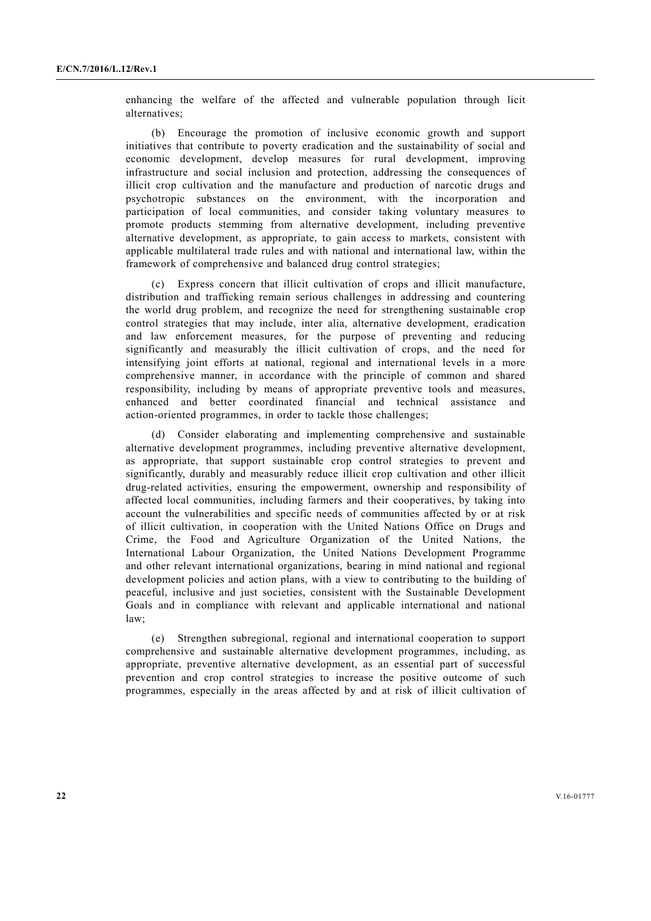enhancing the welfare of the affected and vulnerable population through licit alternatives;

 (b) Encourage the promotion of inclusive economic growth and support initiatives that contribute to poverty eradication and the sustainability of social and economic development, develop measures for rural development, improving infrastructure and social inclusion and protection, addressing the consequences of illicit crop cultivation and the manufacture and production of narcotic drugs and psychotropic substances on the environment, with the incorporation and participation of local communities, and consider taking voluntary measures to promote products stemming from alternative development, including preventive alternative development, as appropriate, to gain access to markets, consistent with applicable multilateral trade rules and with national and international law, within the framework of comprehensive and balanced drug control strategies;

 (c) Express concern that illicit cultivation of crops and illicit manufacture, distribution and trafficking remain serious challenges in addressing and countering the world drug problem, and recognize the need for strengthening sustainable crop control strategies that may include, inter alia, alternative development, eradication and law enforcement measures, for the purpose of preventing and reducing significantly and measurably the illicit cultivation of crops, and the need for intensifying joint efforts at national, regional and international levels in a more comprehensive manner, in accordance with the principle of common and shared responsibility, including by means of appropriate preventive tools and measures, enhanced and better coordinated financial and technical assistance and action-oriented programmes, in order to tackle those challenges;

 (d) Consider elaborating and implementing comprehensive and sustainable alternative development programmes, including preventive alternative development, as appropriate, that support sustainable crop control strategies to prevent and significantly, durably and measurably reduce illicit crop cultivation and other illicit drug-related activities, ensuring the empowerment, ownership and responsibility of affected local communities, including farmers and their cooperatives, by taking into account the vulnerabilities and specific needs of communities affected by or at risk of illicit cultivation, in cooperation with the United Nations Office on Drugs and Crime, the Food and Agriculture Organization of the United Nations, the International Labour Organization, the United Nations Development Programme and other relevant international organizations, bearing in mind national and regional development policies and action plans, with a view to contributing to the building of peaceful, inclusive and just societies, consistent with the Sustainable Development Goals and in compliance with relevant and applicable international and national law;

 (e) Strengthen subregional, regional and international cooperation to support comprehensive and sustainable alternative development programmes, including, as appropriate, preventive alternative development, as an essential part of successful prevention and crop control strategies to increase the positive outcome of such programmes, especially in the areas affected by and at risk of illicit cultivation of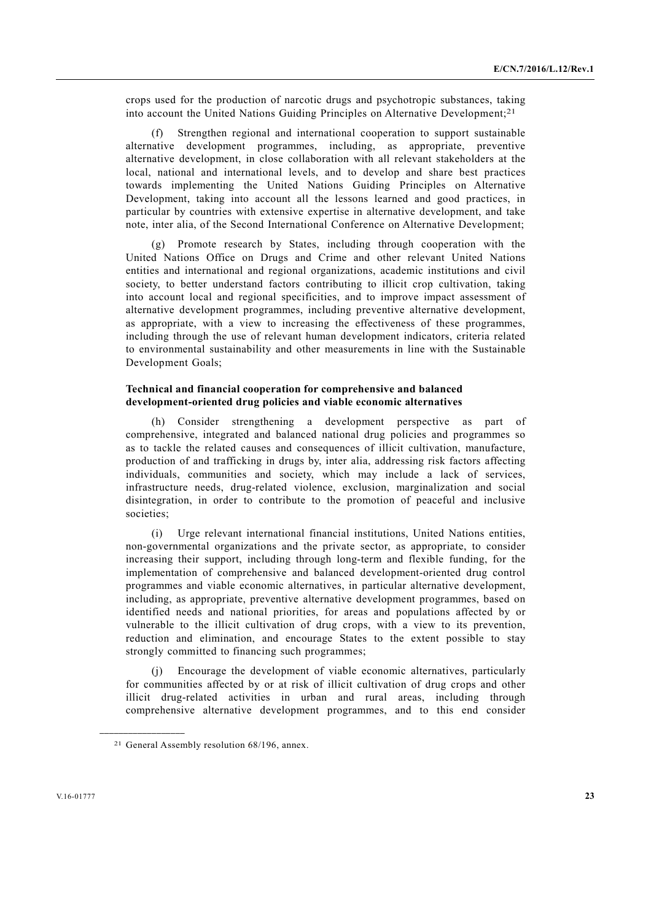crops used for the production of narcotic drugs and psychotropic substances, taking into account the United Nations Guiding Principles on Alternative Development;21

 (f) Strengthen regional and international cooperation to support sustainable alternative development programmes, including, as appropriate, preventive alternative development, in close collaboration with all relevant stakeholders at the local, national and international levels, and to develop and share best practices towards implementing the United Nations Guiding Principles on Alternative Development, taking into account all the lessons learned and good practices, in particular by countries with extensive expertise in alternative development, and take note, inter alia, of the Second International Conference on Alternative Development;

 (g) Promote research by States, including through cooperation with the United Nations Office on Drugs and Crime and other relevant United Nations entities and international and regional organizations, academic institutions and civil society, to better understand factors contributing to illicit crop cultivation, taking into account local and regional specificities, and to improve impact assessment of alternative development programmes, including preventive alternative development, as appropriate, with a view to increasing the effectiveness of these programmes, including through the use of relevant human development indicators, criteria related to environmental sustainability and other measurements in line with the Sustainable Development Goals;

#### **Technical and financial cooperation for comprehensive and balanced development-oriented drug policies and viable economic alternatives**

 (h) Consider strengthening a development perspective as part of comprehensive, integrated and balanced national drug policies and programmes so as to tackle the related causes and consequences of illicit cultivation, manufacture, production of and trafficking in drugs by, inter alia, addressing risk factors affecting individuals, communities and society, which may include a lack of services, infrastructure needs, drug-related violence, exclusion, marginalization and social disintegration, in order to contribute to the promotion of peaceful and inclusive societies<sup>.</sup>

 (i) Urge relevant international financial institutions, United Nations entities, non-governmental organizations and the private sector, as appropriate, to consider increasing their support, including through long-term and flexible funding, for the implementation of comprehensive and balanced development-oriented drug control programmes and viable economic alternatives, in particular alternative development, including, as appropriate, preventive alternative development programmes, based on identified needs and national priorities, for areas and populations affected by or vulnerable to the illicit cultivation of drug crops, with a view to its prevention, reduction and elimination, and encourage States to the extent possible to stay strongly committed to financing such programmes;

Encourage the development of viable economic alternatives, particularly for communities affected by or at risk of illicit cultivation of drug crops and other illicit drug-related activities in urban and rural areas, including through comprehensive alternative development programmes, and to this end consider

<sup>21</sup> General Assembly resolution 68/196, annex.